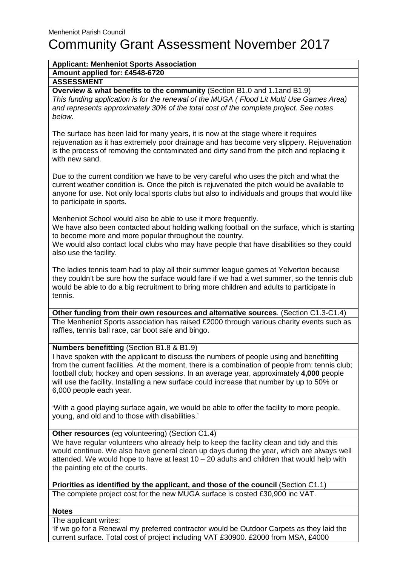# Community Grant Assessment November 2017

## **Applicant: Menheniot Sports Association**

**Amount applied for: £4548-6720**

## **ASSESSMENT**

**Overview & what benefits to the community** (Section B1.0 and 1.1and B1.9)

This funding application is for the renewal of the MUGA ( Flood Lit Multi Use Games Area) and represents approximately 30% of the total cost of the complete project. See notes below.

The surface has been laid for many years, it is now at the stage where it requires rejuvenation as it has extremely poor drainage and has become very slippery. Rejuvenation is the process of removing the contaminated and dirty sand from the pitch and replacing it with new sand.

Due to the current condition we have to be very careful who uses the pitch and what the current weather condition is. Once the pitch is rejuvenated the pitch would be available to anyone for use. Not only local sports clubs but also to individuals and groups that would like to participate in sports.

Menheniot School would also be able to use it more frequently.

We have also been contacted about holding walking football on the surface, which is starting to become more and more popular throughout the country.

We would also contact local clubs who may have people that have disabilities so they could also use the facility.

The ladies tennis team had to play all their summer league games at Yelverton because they couldn't be sure how the surface would fare if we had a wet summer, so the tennis club would be able to do a big recruitment to bring more children and adults to participate in tennis.

**Other funding from their own resources and alternative sources**. (Section C1.3-C1.4) The Menheniot Sports association has raised £2000 through various charity events such as raffles, tennis ball race, car boot sale and bingo.

### **Numbers benefitting** (Section B1.8 & B1.9)

I have spoken with the applicant to discuss the numbers of people using and benefitting from the current facilities. At the moment, there is a combination of people from: tennis club; football club; hockey and open sessions. In an average year, approximately **4,000** people will use the facility. Installing a new surface could increase that number by up to 50% or 6,000 people each year.

'With a good playing surface again, we would be able to offer the facility to more people, young, and old and to those with disabilities.'

### **Other resources** (eg volunteering) (Section C1.4)

We have regular volunteers who already help to keep the facility clean and tidy and this would continue. We also have general clean up days during the year, which are always well attended. We would hope to have at least  $10 - 20$  adults and children that would help with the painting etc of the courts.

**Priorities as identified by the applicant, and those of the council** (Section C1.1) The complete project cost for the new MUGA surface is costed £30,900 inc VAT.

**Notes**

The applicant writes: 'If we go for a Renewal my preferred contractor would be Outdoor Carpets as they laid the current surface. Total cost of project including VAT £30900. £2000 from MSA, £4000